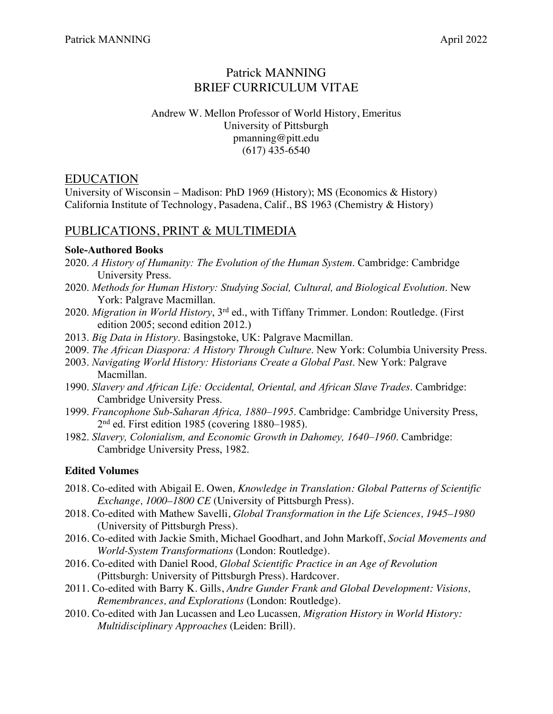# Patrick MANNING BRIEF CURRICULUM VITAE

#### Andrew W. Mellon Professor of World History, Emeritus University of Pittsburgh pmanning@pitt.edu (617) 435-6540

### EDUCATION

University of Wisconsin – Madison: PhD 1969 (History); MS (Economics & History) California Institute of Technology, Pasadena, Calif., BS 1963 (Chemistry & History)

## PUBLICATIONS, PRINT & MULTIMEDIA

#### **Sole-Authored Books**

- 2020. *A History of Humanity: The Evolution of the Human System*. Cambridge: Cambridge University Press.
- 2020. *Methods for Human History: Studying Social, Cultural, and Biological Evolution*. New York: Palgrave Macmillan.
- 2020. *Migration in World History*, 3rd ed., with Tiffany Trimmer. London: Routledge. (First edition 2005; second edition 2012.)
- 2013. *Big Data in History*. Basingstoke, UK: Palgrave Macmillan.
- 2009. *The African Diaspora: A History Through Culture*. New York: Columbia University Press.
- 2003. *Navigating World History: Historians Create a Global Past*. New York: Palgrave Macmillan.
- 1990. *Slavery and African Life: Occidental, Oriental, and African Slave Trades*. Cambridge: Cambridge University Press.
- 1999. *Francophone Sub-Saharan Africa, 1880–1995*. Cambridge: Cambridge University Press,  $2<sup>nd</sup>$  ed. First edition 1985 (covering 1880–1985).
- 1982. *Slavery, Colonialism, and Economic Growth in Dahomey, 1640–1960*. Cambridge: Cambridge University Press, 1982.

#### **Edited Volumes**

- 2018. Co-edited with Abigail E. Owen*, Knowledge in Translation: Global Patterns of Scientific Exchange, 1000–1800 CE* (University of Pittsburgh Press).
- 2018. Co-edited with Mathew Savelli, *Global Transformation in the Life Sciences, 1945–1980* (University of Pittsburgh Press).
- 2016. Co-edited with Jackie Smith, Michael Goodhart, and John Markoff, *Social Movements and World-System Transformations* (London: Routledge).
- 2016. Co-edited with Daniel Rood*, Global Scientific Practice in an Age of Revolution* (Pittsburgh: University of Pittsburgh Press). Hardcover.
- 2011. Co-edited with Barry K. Gills, *Andre Gunder Frank and Global Development: Visions, Remembrances, and Explorations* (London: Routledge).
- 2010. Co-edited with Jan Lucassen and Leo Lucassen*, Migration History in World History: Multidisciplinary Approaches* (Leiden: Brill).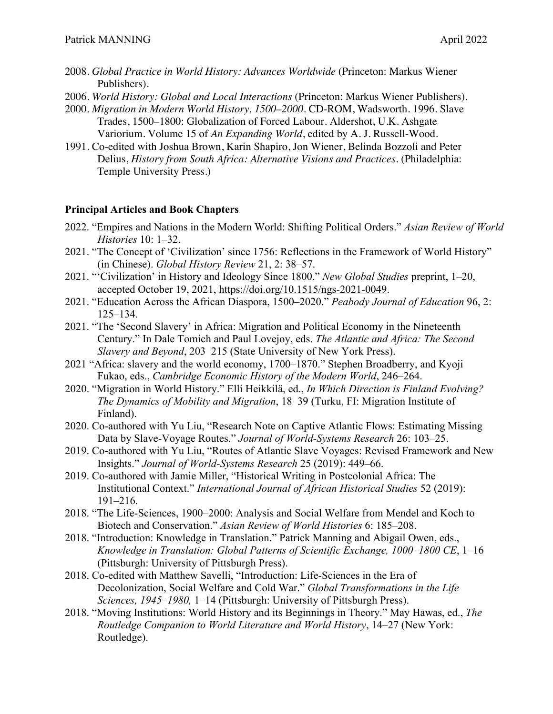- 2008. *Global Practice in World History: Advances Worldwide* (Princeton: Markus Wiener Publishers).
- 2006. *World History: Global and Local Interactions* (Princeton: Markus Wiener Publishers).
- 2000. *Migration in Modern World History, 1500–2000*. CD-ROM, Wadsworth. 1996. Slave Trades, 1500–1800: Globalization of Forced Labour. Aldershot, U.K. Ashgate Variorium. Volume 15 of *An Expanding World*, edited by A. J. Russell-Wood.
- 1991. Co-edited with Joshua Brown, Karin Shapiro, Jon Wiener, Belinda Bozzoli and Peter Delius, *History from South Africa: Alternative Visions and Practices*. (Philadelphia: Temple University Press.)

### **Principal Articles and Book Chapters**

- 2022. "Empires and Nations in the Modern World: Shifting Political Orders." *Asian Review of World Histories* 10: 1–32.
- 2021. "The Concept of 'Civilization' since 1756: Reflections in the Framework of World History" (in Chinese). *Global History Review* 21, 2: 38–57.
- 2021. "'Civilization' in History and Ideology Since 1800." *New Global Studies* preprint, 1–20, accepted October 19, 2021, https://doi.org/10.1515/ngs-2021-0049.
- 2021. "Education Across the African Diaspora, 1500–2020." *Peabody Journal of Education* 96, 2: 125–134.
- 2021. "The 'Second Slavery' in Africa: Migration and Political Economy in the Nineteenth Century." In Dale Tomich and Paul Lovejoy, eds. *The Atlantic and Africa: The Second Slavery and Beyond*, 203–215 (State University of New York Press).
- 2021 "Africa: slavery and the world economy, 1700–1870." Stephen Broadberry, and Kyoji Fukao, eds., *Cambridge Economic History of the Modern World*, 246–264.
- 2020. "Migration in World History." Elli Heikkilä, ed., *In Which Direction is Finland Evolving? The Dynamics of Mobility and Migration*, 18–39 (Turku, FI: Migration Institute of Finland).
- 2020. Co-authored with Yu Liu, "Research Note on Captive Atlantic Flows: Estimating Missing Data by Slave-Voyage Routes." *Journal of World-Systems Research* 26: 103–25.
- 2019. Co-authored with Yu Liu, "Routes of Atlantic Slave Voyages: Revised Framework and New Insights." *Journal of World-Systems Research* 25 (2019): 449–66.
- 2019. Co-authored with Jamie Miller, "Historical Writing in Postcolonial Africa: The Institutional Context." *International Journal of African Historical Studies* 52 (2019): 191–216.
- 2018. "The Life-Sciences, 1900–2000: Analysis and Social Welfare from Mendel and Koch to Biotech and Conservation." *Asian Review of World Histories* 6: 185–208.
- 2018. "Introduction: Knowledge in Translation." Patrick Manning and Abigail Owen, eds., *Knowledge in Translation: Global Patterns of Scientific Exchange, 1000–1800 CE*, 1–16 (Pittsburgh: University of Pittsburgh Press).
- 2018. Co-edited with Matthew Savelli, "Introduction: Life-Sciences in the Era of Decolonization, Social Welfare and Cold War." *Global Transformations in the Life Sciences, 1945–1980,* 1–14 (Pittsburgh: University of Pittsburgh Press).
- 2018. "Moving Institutions: World History and its Beginnings in Theory." May Hawas, ed., *The Routledge Companion to World Literature and World History*, 14–27 (New York: Routledge).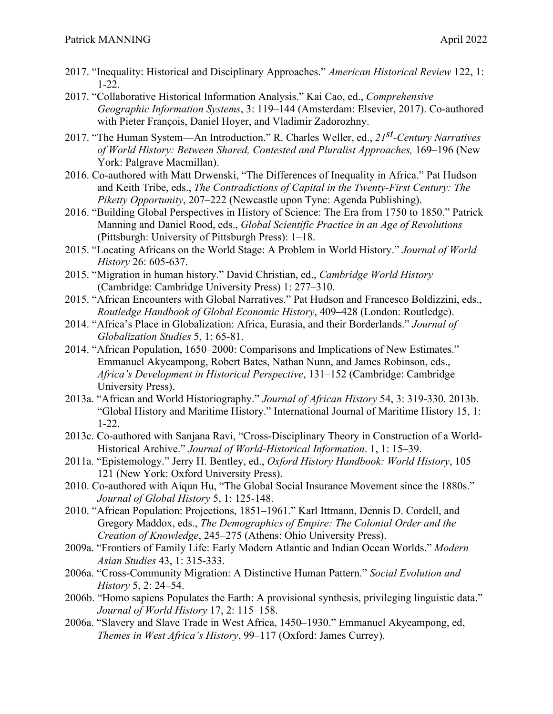- 2017. "Inequality: Historical and Disciplinary Approaches." *American Historical Review* 122, 1: 1-22.
- 2017. "Collaborative Historical Information Analysis." Kai Cao, ed., *Comprehensive Geographic Information Systems*, 3: 119–144 (Amsterdam: Elsevier, 2017). Co-authored with Pieter François, Daniel Hoyer, and Vladimir Zadorozhny.
- 2017. "The Human System—An Introduction." R. Charles Weller, ed., *21st-Century Narratives of World History: Between Shared, Contested and Pluralist Approaches,* 169–196 (New York: Palgrave Macmillan).
- 2016. Co-authored with Matt Drwenski, "The Differences of Inequality in Africa." Pat Hudson and Keith Tribe, eds., *The Contradictions of Capital in the Twenty-First Century: The Piketty Opportunity*, 207–222 (Newcastle upon Tyne: Agenda Publishing).
- 2016. "Building Global Perspectives in History of Science: The Era from 1750 to 1850." Patrick Manning and Daniel Rood, eds., *Global Scientific Practice in an Age of Revolutions* (Pittsburgh: University of Pittsburgh Press): 1–18.
- 2015. "Locating Africans on the World Stage: A Problem in World History." *Journal of World History* 26: 605-637.
- 2015. "Migration in human history." David Christian, ed., *Cambridge World History* (Cambridge: Cambridge University Press) 1: 277–310.
- 2015. "African Encounters with Global Narratives." Pat Hudson and Francesco Boldizzini, eds., *Routledge Handbook of Global Economic History*, 409–428 (London: Routledge).
- 2014. "Africa's Place in Globalization: Africa, Eurasia, and their Borderlands." *Journal of Globalization Studies* 5, 1: 65-81.
- 2014. "African Population, 1650–2000: Comparisons and Implications of New Estimates." Emmanuel Akyeampong, Robert Bates, Nathan Nunn, and James Robinson, eds., *Africa's Development in Historical Perspective*, 131–152 (Cambridge: Cambridge University Press).
- 2013a. "African and World Historiography." *Journal of African History* 54, 3: 319-330. 2013b. "Global History and Maritime History." International Journal of Maritime History 15, 1: 1-22.
- 2013c. Co-authored with Sanjana Ravi, "Cross-Disciplinary Theory in Construction of a World-Historical Archive." *Journal of World-Historical Information*. 1, 1: 15–39.
- 2011a. "Epistemology." Jerry H. Bentley, ed., *Oxford History Handbook: World History*, 105– 121 (New York: Oxford University Press).
- 2010. Co-authored with Aiqun Hu, "The Global Social Insurance Movement since the 1880s." *Journal of Global History* 5, 1: 125-148.
- 2010. "African Population: Projections, 1851–1961." Karl Ittmann, Dennis D. Cordell, and Gregory Maddox, eds., *The Demographics of Empire: The Colonial Order and the Creation of Knowledge*, 245–275 (Athens: Ohio University Press).
- 2009a. "Frontiers of Family Life: Early Modern Atlantic and Indian Ocean Worlds." *Modern Asian Studies* 43, 1: 315-333.
- 2006a. "Cross-Community Migration: A Distinctive Human Pattern." *Social Evolution and History* 5, 2: 24–54.
- 2006b. "Homo sapiens Populates the Earth: A provisional synthesis, privileging linguistic data." *Journal of World History* 17, 2: 115–158.
- 2006a. "Slavery and Slave Trade in West Africa, 1450–1930." Emmanuel Akyeampong, ed, *Themes in West Africa's History*, 99–117 (Oxford: James Currey).